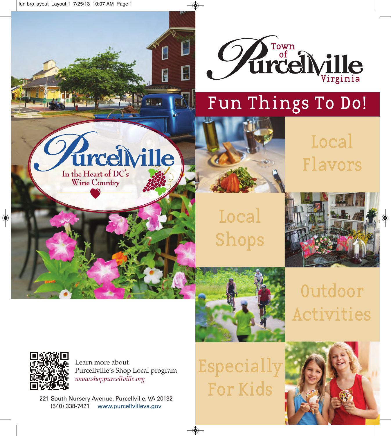

# Fun Things To Do!

# Flavors Local



Local



Shops

Outdoor Activities



Learn more about Purcellville's Shop Local program *www.shoppurcellville.org*

E

**PE 81 30** 

urcelville

In the Heart of  $DC's$ Wine Country

221 South Nursery Avenue, Purcellville, VA 20132 (540) 338-7421 www.purcellvilleva.gov

Especially For Kids